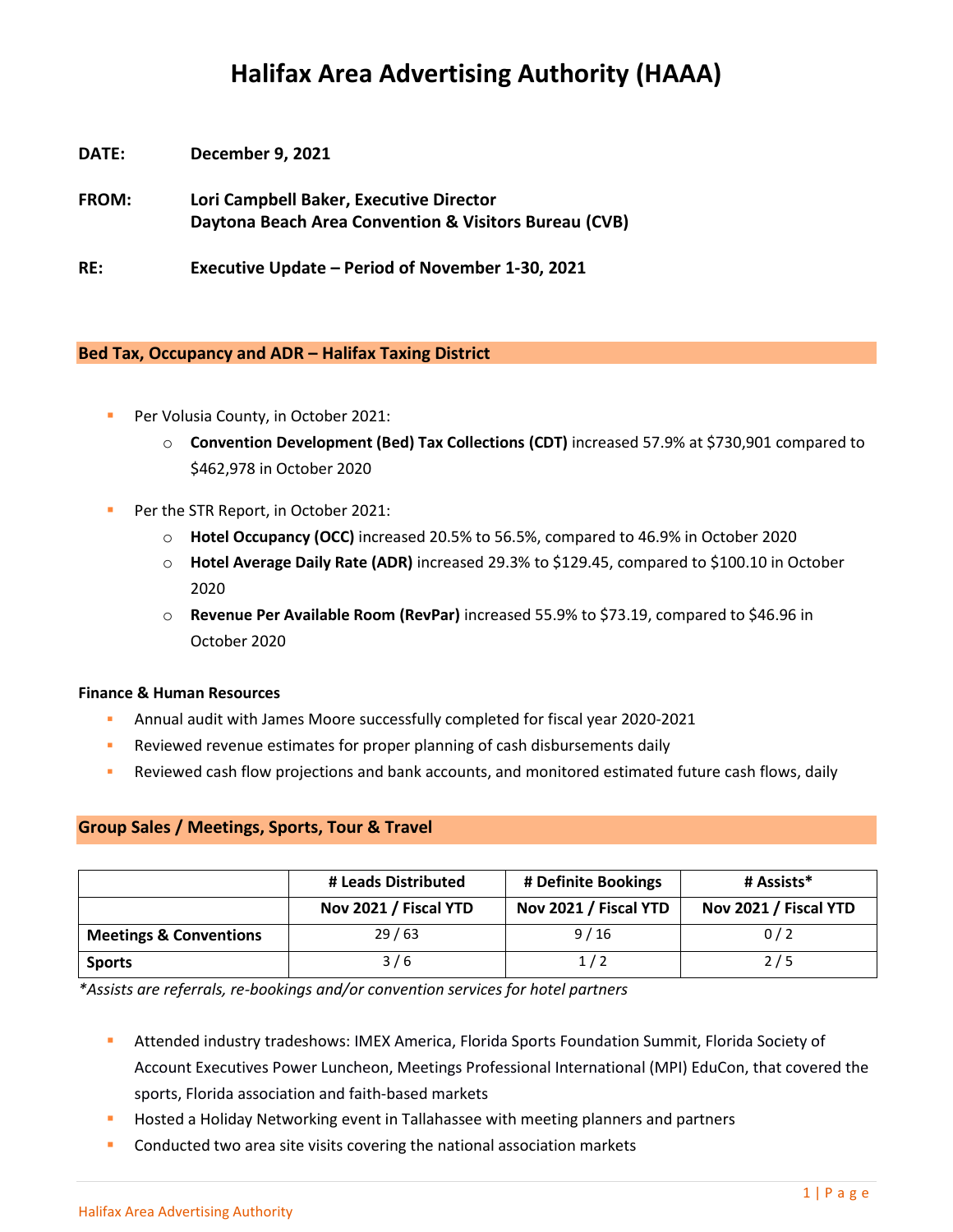# **Halifax Area Advertising Authority (HAAA)**

- **DATE: December 9, 2021**
- **FROM: Lori Campbell Baker, Executive Director Daytona Beach Area Convention & Visitors Bureau (CVB)**

**RE: Executive Update – Period of November 1-30, 2021**

## **Bed Tax, Occupancy and ADR – Halifax Taxing District**

- Per Volusia County, in October 2021:
	- o **Convention Development (Bed) Tax Collections (CDT)** increased 57.9% at \$730,901 compared to \$462,978 in October 2020
- Per the STR Report, in October 2021:
	- o **Hotel Occupancy (OCC)** increased 20.5% to 56.5%, compared to 46.9% in October 2020
	- o **Hotel Average Daily Rate (ADR)** increased 29.3% to \$129.45, compared to \$100.10 in October 2020
	- o **Revenue Per Available Room (RevPar)** increased 55.9% to \$73.19, compared to \$46.96 in October 2020

## **Finance & Human Resources**

- Annual audit with James Moore successfully completed for fiscal year 2020-2021
- **EXECTE Reviewed revenue estimates for proper planning of cash disbursements daily**
- Reviewed cash flow projections and bank accounts, and monitored estimated future cash flows, daily

## **Group Sales / Meetings, Sports, Tour & Travel**

|                                   | # Leads Distributed   | # Definite Bookings   | # Assists*            |
|-----------------------------------|-----------------------|-----------------------|-----------------------|
|                                   | Nov 2021 / Fiscal YTD | Nov 2021 / Fiscal YTD | Nov 2021 / Fiscal YTD |
| <b>Meetings &amp; Conventions</b> | 29/63                 | 9/16                  | 0/2                   |
| <b>Sports</b>                     | 3/6                   | 1/2                   | 2/5                   |

*\*Assists are referrals, re-bookings and/or convention services for hotel partners*

- **EXECTED Attended industry tradeshows: IMEX America, Florida Sports Foundation Summit, Florida Society of** Account Executives Power Luncheon, Meetings Professional International (MPI) EduCon, that covered the sports, Florida association and faith-based markets
- Hosted a Holiday Networking event in Tallahassee with meeting planners and partners
- Conducted two area site visits covering the national association markets